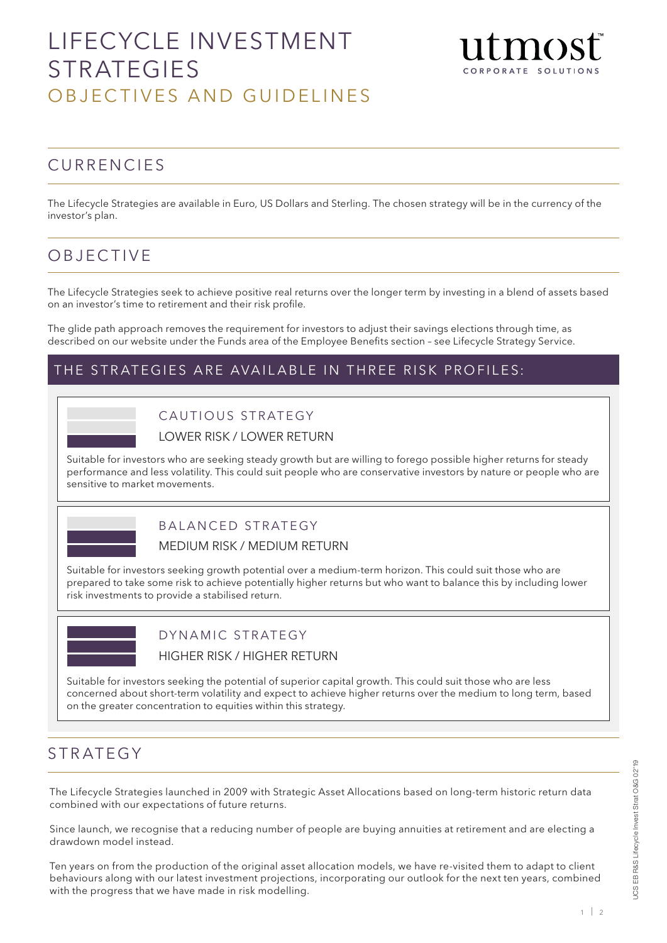# LIFECYCLE INVESTMENT STRATEGIES OBJECTIVES AND GUIDELINES



### **CURRENCIES**

The Lifecycle Strategies are available in Euro, US Dollars and Sterling. The chosen strategy will be in the currency of the investor's plan.

### OBJECTIVE

The Lifecycle Strategies seek to achieve positive real returns over the longer term by investing in a blend of assets based on an investor's time to retirement and their risk profile.

The glide path approach removes the requirement for investors to adjust their savings elections through time, as described on our website under the Funds area of the Employee Benefits section – see Lifecycle Strategy Service.

#### THE STRATEGIES ARE AVAILABLE IN THREE RISK PROFILES:



CAUTIOUS STRATEGY

LOWER RISK / LOWER RETURN

Suitable for investors who are seeking steady growth but are willing to forego possible higher returns for steady performance and less volatility. This could suit people who are conservative investors by nature or people who are sensitive to market movements.



#### BALANCED STRATEGY

MEDIUM RISK / MEDIUM RETURN

Suitable for investors seeking growth potential over a medium-term horizon. This could suit those who are prepared to take some risk to achieve potentially higher returns but who want to balance this by including lower risk investments to provide a stabilised return.



# DYNAMIC STRATEGY

HIGHER RISK / HIGHER RETURN

Suitable for investors seeking the potential of superior capital growth. This could suit those who are less concerned about short-term volatility and expect to achieve higher returns over the medium to long term, based on the greater concentration to equities within this strategy.

#### STRATEGY

The Lifecycle Strategies launched in 2009 with Strategic Asset Allocations based on long-term historic return data combined with our expectations of future returns.

Since launch, we recognise that a reducing number of people are buying annuities at retirement and are electing a drawdown model instead.

Ten years on from the production of the original asset allocation models, we have re-visited them to adapt to client behaviours along with our latest investment projections, incorporating our outlook for the next ten years, combined with the progress that we have made in risk modelling.